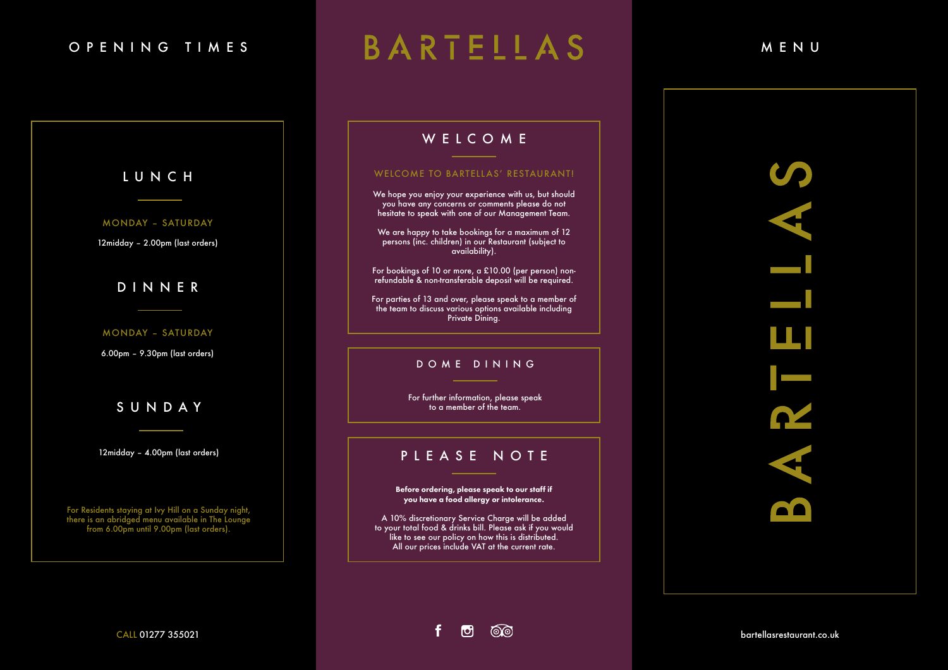# OPENING TIMES BARTELLAS MENU

# WELCOME

CALL 01277 355021



Before ordering, please speak to our staff if you have a food allergy or intolerance.

A 10% discretionary Service Charge will be added to your total food & drinks bill. Please ask if you would like to see our policy on how this is distributed. All our prices include VAT at the current rate.

 $\Box$ 

෯෯

f

## PLEASE NOTE

### WELCOME TO BARTELLAS' RESTAURANT!

We hope you enjoy your experience with us, but should you have any concerns or comments please do not hesitate to speak with one of our Management Team.

We are happy to take bookings for a maximum of 12 persons (inc. children) in our Restaurant (subject to availability).

SUNDAY REPORTED SUNDAY REPORTED THE SUNDAY For further information, please speak<br>SUNDAY REPORTED TO A MELTIC SUNDAY REPORTED THE SUNDAY REPORTED TO A MELTIC SUNDAY TO A MELTIC SUNDAY REPORTED to a member of the team.

For bookings of 10 or more, a £10.00 (per person) nonrefundable & non-transferable deposit will be required.

For parties of 13 and over, please speak to a member of the team to discuss various options available including Private Dining.

For Residents staying at Ivy Hill on a Sunday night, there is an abridged menu available in The Lounge from 6.00pm until 9.00pm (last orders).

#### MONDAY – SATURDAY

12midday – 2.00pm (last orders)

# LUNCH

### MONDAY – SATURDAY

6.00pm – 9.30pm (last orders)

## DINNER

12midday – 4.00pm (last orders)

## DOME DINING

bartellasrestaurant.co.uk